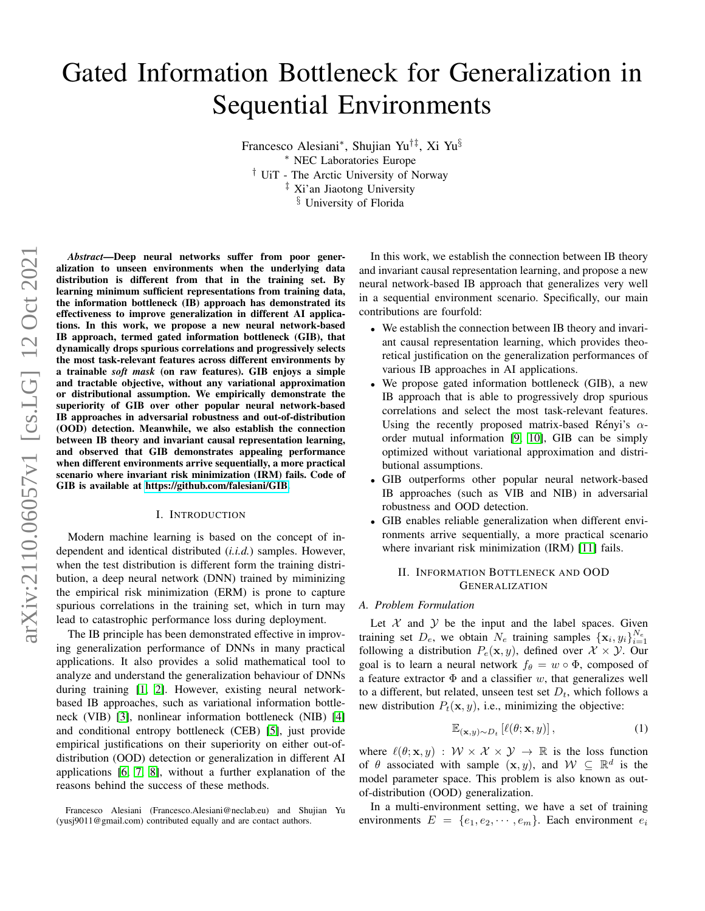# Gated Information Bottleneck for Generalization in Sequential Environments

Francesco Alesiani<sup>∗</sup> , Shujian Yu†‡, Xi Yu§ <sup>∗</sup> NEC Laboratories Europe † UiT - The Arctic University of Norway ‡ Xi'an Jiaotong University § University of Florida

*Abstract*—Deep neural networks suffer from poor generalization to unseen environments when the underlying data distribution is different from that in the training set. By learning minimum sufficient representations from training data, the information bottleneck (IB) approach has demonstrated its effectiveness to improve generalization in different AI applications. In this work, we propose a new neural network-based IB approach, termed gated information bottleneck (GIB), that dynamically drops spurious correlations and progressively selects the most task-relevant features across different environments by a trainable *soft mask* (on raw features). GIB enjoys a simple and tractable objective, without any variational approximation or distributional assumption. We empirically demonstrate the superiority of GIB over other popular neural network-based IB approaches in adversarial robustness and out-of-distribution (OOD) detection. Meanwhile, we also establish the connection between IB theory and invariant causal representation learning, and observed that GIB demonstrates appealing performance when different environments arrive sequentially, a more practical scenario where invariant risk minimization (IRM) fails. Code of GIB is available at [https://github.com/falesiani/GIB.](https://github.com/falesiani/GIB)

#### I. INTRODUCTION

Modern machine learning is based on the concept of independent and identical distributed (*i.i.d.*) samples. However, when the test distribution is different form the training distribution, a deep neural network (DNN) trained by miminizing the empirical risk minimization (ERM) is prone to capture spurious correlations in the training set, which in turn may lead to catastrophic performance loss during deployment.

The IB principle has been demonstrated effective in improving generalization performance of DNNs in many practical applications. It also provides a solid mathematical tool to analyze and understand the generalization behaviour of DNNs during training [\[1,](#page-6-0) [2\]](#page-6-1). However, existing neural networkbased IB approaches, such as variational information bottleneck (VIB) [\[3\]](#page-6-2), nonlinear information bottleneck (NIB) [\[4\]](#page-6-3) and conditional entropy bottleneck (CEB) [\[5\]](#page-6-4), just provide empirical justifications on their superiority on either out-ofdistribution (OOD) detection or generalization in different AI applications [\[6,](#page-6-5) [7,](#page-6-6) [8\]](#page-6-7), without a further explanation of the reasons behind the success of these methods.

In this work, we establish the connection between IB theory and invariant causal representation learning, and propose a new neural network-based IB approach that generalizes very well in a sequential environment scenario. Specifically, our main contributions are fourfold:

- We establish the connection between IB theory and invariant causal representation learning, which provides theoretical justification on the generalization performances of various IB approaches in AI applications.
- We propose gated information bottleneck (GIB), a new IB approach that is able to progressively drop spurious correlations and select the most task-relevant features. Using the recently proposed matrix-based Rényi's  $\alpha$ order mutual information [\[9,](#page-7-0) [10\]](#page-7-1), GIB can be simply optimized without variational approximation and distributional assumptions.
- GIB outperforms other popular neural network-based IB approaches (such as VIB and NIB) in adversarial robustness and OOD detection.
- GIB enables reliable generalization when different environments arrive sequentially, a more practical scenario where invariant risk minimization (IRM) [\[11\]](#page-7-2) fails.

# II. INFORMATION BOTTLENECK AND OOD GENERALIZATION

## *A. Problem Formulation*

Let  $X$  and  $Y$  be the input and the label spaces. Given training set  $D_e$ , we obtain  $N_e$  training samples  $\{x_i, y_i\}_{i=1}^{N_e}$ following a distribution  $P_e(\mathbf{x}, y)$ , defined over  $\mathcal{X} \times \mathcal{Y}$ . Our goal is to learn a neural network  $f_{\theta} = w \circ \Phi$ , composed of a feature extractor  $\Phi$  and a classifier w, that generalizes well to a different, but related, unseen test set  $D_t$ , which follows a new distribution  $P_t(\mathbf{x}, y)$ , i.e., minimizing the objective:

$$
\mathbb{E}_{(\mathbf{x},y)\sim D_t} \left[ \ell(\theta; \mathbf{x}, y) \right],\tag{1}
$$

where  $\ell(\theta; \mathbf{x}, y) : \mathcal{W} \times \mathcal{X} \times \mathcal{Y} \to \mathbb{R}$  is the loss function of  $\theta$  associated with sample  $(x, y)$ , and  $\mathcal{W} \subseteq \mathbb{R}^d$  is the model parameter space. This problem is also known as outof-distribution (OOD) generalization.

In a multi-environment setting, we have a set of training environments  $E = \{e_1, e_2, \dots, e_m\}$ . Each environment  $e_i$ 

Francesco Alesiani (Francesco.Alesiani@neclab.eu) and Shujian Yu (yusj9011@gmail.com) contributed equally and are contact authors.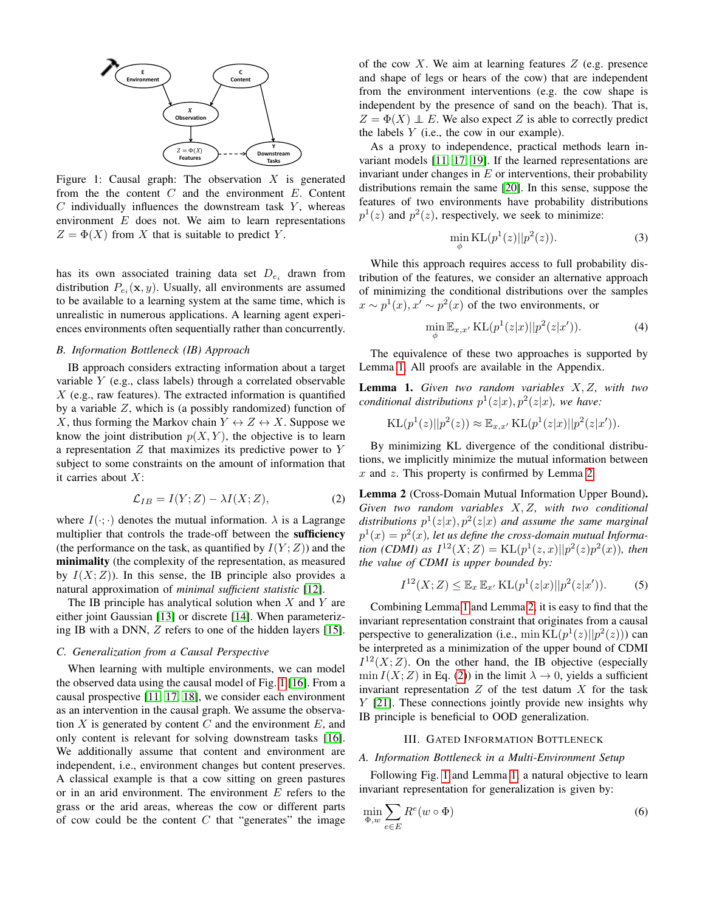<span id="page-1-0"></span>

Figure 1: Causal graph: The observation  $X$  is generated from the the content  $C$  and the environment  $E$ . Content  $C$  individually influences the downstream task  $Y$ , whereas environment  $E$  does not. We aim to learn representations  $Z = \Phi(X)$  from X that is suitable to predict Y.

has its own associated training data set  $D_{e_i}$  drawn from distribution  $P_{e_i}(\mathbf{x}, y)$ . Usually, all environments are assumed to be available to a learning system at the same time, which is unrealistic in numerous applications. A learning agent experiences environments often sequentially rather than concurrently.

# *B. Information Bottleneck (IB) Approach*

IB approach considers extracting information about a target variable Y (e.g., class labels) through a correlated observable  $X$  (e.g., raw features). The extracted information is quantified by a variable Z, which is (a possibly randomized) function of X, thus forming the Markov chain  $Y \leftrightarrow Z \leftrightarrow X$ . Suppose we know the joint distribution  $p(X, Y)$ , the objective is to learn a representation  $Z$  that maximizes its predictive power to  $Y$ subject to some constraints on the amount of information that it carries about X:

<span id="page-1-3"></span>
$$
\mathcal{L}_{IB} = I(Y;Z) - \lambda I(X;Z),\tag{2}
$$

where  $I(\cdot; \cdot)$  denotes the mutual information.  $\lambda$  is a Lagrange multiplier that controls the trade-off between the **sufficiency** (the performance on the task, as quantified by  $I(Y;Z)$ ) and the minimality (the complexity of the representation, as measured by  $I(X;Z)$ ). In this sense, the IB principle also provides a natural approximation of *minimal sufficient statistic* [\[12\]](#page-7-3).

The IB principle has analytical solution when  $X$  and  $Y$  are either joint Gaussian [\[13\]](#page-7-4) or discrete [\[14\]](#page-7-5). When parameterizing IB with a DNN, Z refers to one of the hidden layers [\[15\]](#page-7-6).

## <span id="page-1-4"></span>*C. Generalization from a Causal Perspective*

When learning with multiple environments, we can model the observed data using the causal model of Fig. [1](#page-1-0) [\[16\]](#page-7-7). From a causal prospective [\[11,](#page-7-2) [17,](#page-7-8) [18\]](#page-7-9), we consider each environment as an intervention in the causal graph. We assume the observation  $X$  is generated by content  $C$  and the environment  $E$ , and only content is relevant for solving downstream tasks [\[16\]](#page-7-7). We additionally assume that content and environment are independent, i.e., environment changes but content preserves. A classical example is that a cow sitting on green pastures or in an arid environment. The environment  $E$  refers to the grass or the arid areas, whereas the cow or different parts of cow could be the content  $C$  that "generates" the image of the cow  $X$ . We aim at learning features  $Z$  (e.g. presence and shape of legs or hears of the cow) that are independent from the environment interventions (e.g. the cow shape is independent by the presence of sand on the beach). That is,  $Z = \Phi(X) \perp E$ . We also expect Z is able to correctly predict the labels  $Y$  (i.e., the cow in our example).

As a proxy to independence, practical methods learn invariant models [\[11,](#page-7-2) [17,](#page-7-8) [19\]](#page-7-10). If the learned representations are invariant under changes in  $E$  or interventions, their probability distributions remain the same [\[20\]](#page-7-11). In this sense, suppose the features of two environments have probability distributions  $p^{1}(z)$  and  $p^{2}(z)$ , respectively, we seek to minimize:

$$
\min_{\phi} \mathrm{KL}(p^1(z)||p^2(z)).\tag{3}
$$

While this approach requires access to full probability distribution of the features, we consider an alternative approach of minimizing the conditional distributions over the samples  $x \sim p^1(x)$ ,  $x' \sim p^2(x)$  of the two environments, or

$$
\min_{\phi} \mathbb{E}_{x,x'} \operatorname{KL}(p^1(z|x) || p^2(z|x')). \tag{4}
$$

The equivalence of these two approaches is supported by Lemma [1.](#page-1-1) All proofs are available in the Appendix.

<span id="page-1-1"></span>Lemma 1. *Given two random variables* X, Z*, with two conditional distributions*  $p^{1}(z|x), p^{2}(z|x)$ *, we have:* 

KL
$$
(p^1(z)||p^2(z)) \approx \mathbb{E}_{x,x'} KL(p^1(z|x)||p^2(z|x')).
$$

By minimizing KL divergence of the conditional distributions, we implicitly minimize the mutual information between  $x$  and  $z$ . This property is confirmed by Lemma [2.](#page-1-2)

<span id="page-1-2"></span>Lemma 2 (Cross-Domain Mutual Information Upper Bound). *Given two random variables* X, Z*, with two conditional* distributions  $p^1(z|x), p^2(z|x)$  and assume the same marginal  $p^{1}(x) = p^{2}(x)$ , let us define the cross-domain mutual Informa*tion (CDMI) as*  $I^{12}(X; Z) = KL(p^1(z, x)||p^2(z)p^2(x))$ *, then the value of CDMI is upper bounded by:*

$$
I^{12}(X;Z) \leq \mathbb{E}_x \, \mathbb{E}_{x'} \, \text{KL}(p^1(z|x) || p^2(z|x')). \tag{5}
$$

Combining Lemma [1](#page-1-1) and Lemma [2,](#page-1-2) it is easy to find that the invariant representation constraint that originates from a causal perspective to generalization (i.e.,  $\min KL(p^1(z)||p^2(z))$ ) can be interpreted as a minimization of the upper bound of CDMI  $I^{12}(X;Z)$ . On the other hand, the IB objective (especially  $\min I(X; Z)$  in Eq. [\(2\)](#page-1-3)) in the limit  $\lambda \to 0$ , yields a sufficient invariant representation  $Z$  of the test datum  $X$  for the task Y [\[21\]](#page-7-12). These connections jointly provide new insights why IB principle is beneficial to OOD generalization.

# III. GATED INFORMATION BOTTLENECK

## *A. Information Bottleneck in a Multi-Environment Setup*

Following Fig. [1](#page-1-0) and Lemma [1,](#page-1-1) a natural objective to learn invariant representation for generalization is given by:

$$
\min_{\Phi, w} \sum_{e \in E} R^e(w \circ \Phi) \tag{6}
$$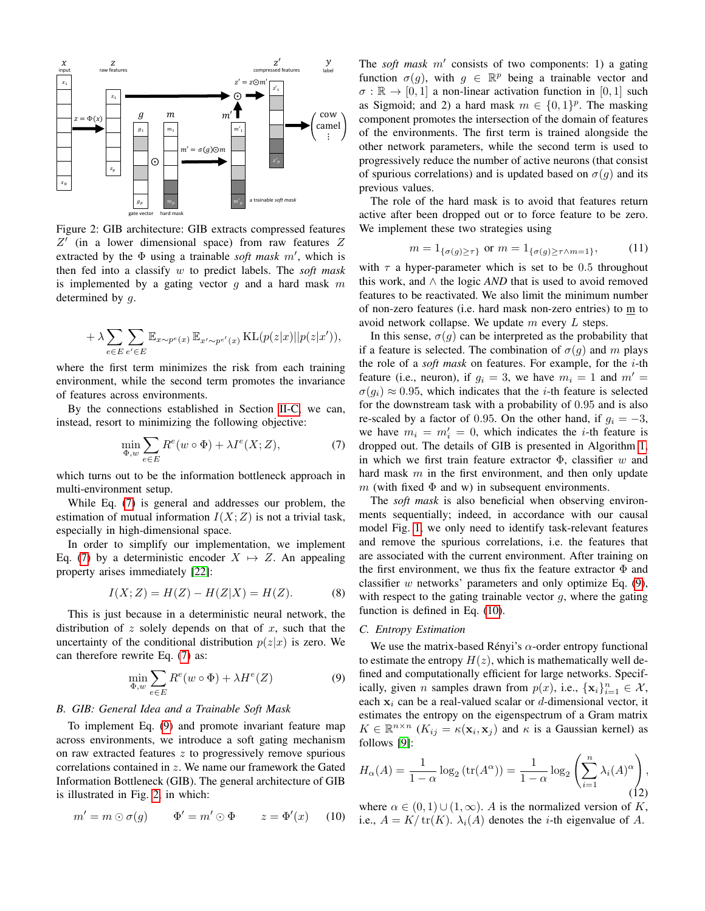<span id="page-2-2"></span>

Figure 2: GIB architecture: GIB extracts compressed features  $Z'$  (in a lower dimensional space) from raw features  $Z$ extracted by the  $\Phi$  using a trainable *soft mask m'*, which is then fed into a classify w to predict labels. The *soft mask* is implemented by a gating vector  $g$  and a hard mask  $m$ determined by g.

$$
+ \; \lambda \sum_{e \in E} \sum_{e' \in E} \mathbb{E}_{x \sim p^e(x)} \, \mathbb{E}_{x' \sim p^{e'}(x)} \, \mathrm{KL}(p(z|x) || p(z|x')),
$$

where the first term minimizes the risk from each training environment, while the second term promotes the invariance of features across environments.

By the connections established in Section [II-C,](#page-1-4) we can, instead, resort to minimizing the following objective:

$$
\min_{\Phi, w} \sum_{e \in E} R^e(w \circ \Phi) + \lambda I^e(X; Z),\tag{7}
$$

which turns out to be the information bottleneck approach in multi-environment setup.

While Eq. [\(7\)](#page-2-0) is general and addresses our problem, the estimation of mutual information  $I(X;Z)$  is not a trivial task, especially in high-dimensional space.

In order to simplify our implementation, we implement Eq. [\(7\)](#page-2-0) by a deterministic encoder  $X \mapsto Z$ . An appealing property arises immediately [\[22\]](#page-7-13):

$$
I(X;Z) = H(Z) - H(Z|X) = H(Z).
$$
 (8)

This is just because in a deterministic neural network, the distribution of  $z$  solely depends on that of  $x$ , such that the uncertainty of the conditional distribution  $p(z|x)$  is zero. We can therefore rewrite Eq. [\(7\)](#page-2-0) as:

$$
\min_{\Phi, w} \sum_{e \in E} R^e(w \circ \Phi) + \lambda H^e(Z) \tag{9}
$$

## *B. GIB: General Idea and a Trainable Soft Mask*

To implement Eq. [\(9\)](#page-2-1) and promote invariant feature map across environments, we introduce a soft gating mechanism on raw extracted features  $z$  to progressively remove spurious correlations contained in z. We name our framework the Gated Information Bottleneck (GIB). The general architecture of GIB is illustrated in Fig. [2,](#page-2-2) in which:

$$
m' = m \odot \sigma(g) \qquad \Phi' = m' \odot \Phi \qquad z = \Phi'(x) \qquad (10)
$$

The *soft mask*  $m'$  consists of two components: 1) a gating function  $\sigma(g)$ , with  $g \in \mathbb{R}^p$  being a trainable vector and  $\sigma : \mathbb{R} \to [0, 1]$  a non-linear activation function in [0, 1] such as Sigmoid; and 2) a hard mask  $m \in \{0, 1\}^p$ . The masking component promotes the intersection of the domain of features of the environments. The first term is trained alongside the other network parameters, while the second term is used to progressively reduce the number of active neurons (that consist of spurious correlations) and is updated based on  $\sigma(g)$  and its previous values.

The role of the hard mask is to avoid that features return active after been dropped out or to force feature to be zero. We implement these two strategies using

<span id="page-2-4"></span>
$$
m = 1_{\{\sigma(g) \ge \tau\}} \text{ or } m = 1_{\{\sigma(g) \ge \tau \wedge m = 1\}},\tag{11}
$$

with  $\tau$  a hyper-parameter which is set to be 0.5 throughout this work, and  $\land$  the logic *AND* that is used to avoid removed features to be reactivated. We also limit the minimum number of non-zero features (i.e. hard mask non-zero entries) to m to avoid network collapse. We update  $m$  every  $L$  steps.

In this sense,  $\sigma(g)$  can be interpreted as the probability that if a feature is selected. The combination of  $\sigma(g)$  and m plays the role of a *soft mask* on features. For example, for the i-th feature (i.e., neuron), if  $g_i = 3$ , we have  $m_i = 1$  and  $m' =$  $\sigma(g_i) \approx 0.95$ , which indicates that the *i*-th feature is selected for the downstream task with a probability of 0.95 and is also re-scaled by a factor of 0.95. On the other hand, if  $g_i = -3$ , we have  $m_i = m'_i = 0$ , which indicates the *i*-th feature is dropped out. The details of GIB is presented in Algorithm [1,](#page-3-0) in which we first train feature extractor  $\Phi$ , classifier w and hard mask  $m$  in the first environment, and then only update m (with fixed  $\Phi$  and w) in subsequent environments.

<span id="page-2-0"></span>The *soft mask* is also beneficial when observing environments sequentially; indeed, in accordance with our causal model Fig. [1,](#page-1-0) we only need to identify task-relevant features and remove the spurious correlations, i.e. the features that are associated with the current environment. After training on the first environment, we thus fix the feature extractor  $\Phi$  and classifier  $w$  networks' parameters and only optimize Eq.  $(9)$ , with respect to the gating trainable vector  $g$ , where the gating function is defined in Eq. [\(10\)](#page-2-3).

## *C. Entropy Estimation*

<span id="page-2-1"></span>We use the matrix-based Rényi's  $\alpha$ -order entropy functional to estimate the entropy  $H(z)$ , which is mathematically well defined and computationally efficient for large networks. Specifically, given *n* samples drawn from  $p(x)$ , i.e.,  $\{x_i\}_{i=1}^n \in \mathcal{X}$ , each  $x_i$  can be a real-valued scalar or d-dimensional vector, it estimates the entropy on the eigenspectrum of a Gram matrix  $K \in \mathbb{R}^{n \times n}$  ( $K_{ij} = \kappa(\mathbf{x}_i, \mathbf{x}_j)$  and  $\kappa$  is a Gaussian kernel) as follows [\[9\]](#page-7-0):

$$
H_{\alpha}(A) = \frac{1}{1-\alpha} \log_2\left(\text{tr}(A^{\alpha})\right) = \frac{1}{1-\alpha} \log_2\left(\sum_{i=1}^n \lambda_i(A)^{\alpha}\right),\tag{12}
$$

<span id="page-2-3"></span>where  $\alpha \in (0,1) \cup (1,\infty)$ . A is the normalized version of K, i.e.,  $A = K/\text{tr}(K)$ .  $\lambda_i(A)$  denotes the *i*-th eigenvalue of A.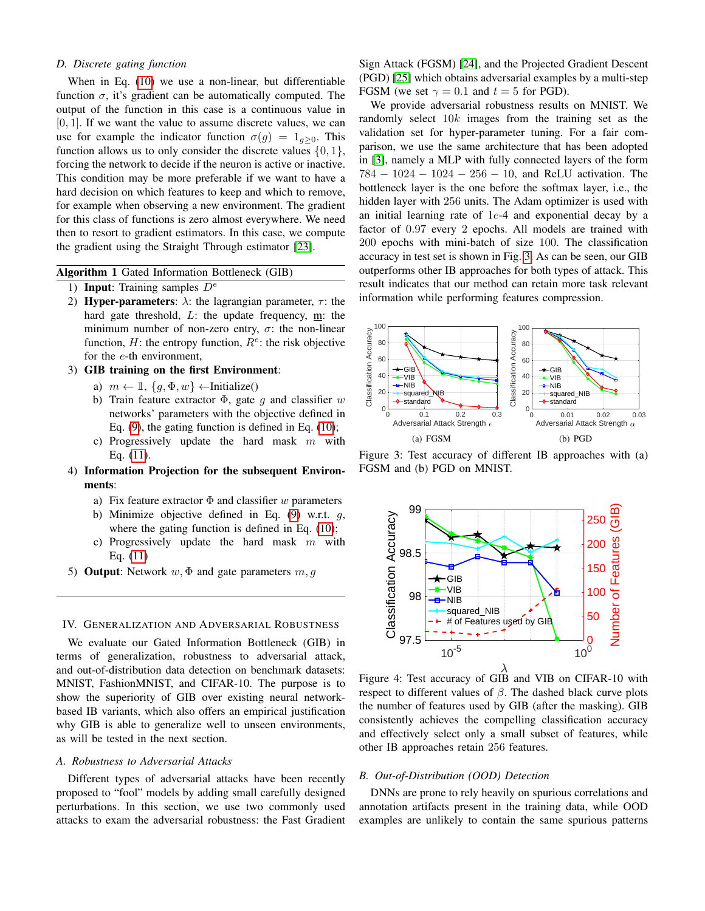# *D. Discrete gating function*

When in Eq. [\(10\)](#page-2-3) we use a non-linear, but differentiable function  $\sigma$ , it's gradient can be automatically computed. The output of the function in this case is a continuous value in [0, 1]. If we want the value to assume discrete values, we can use for example the indicator function  $\sigma(g) = 1_{g>0}$ . This function allows us to only consider the discrete values  $\{0, 1\}$ , forcing the network to decide if the neuron is active or inactive. This condition may be more preferable if we want to have a hard decision on which features to keep and which to remove, for example when observing a new environment. The gradient for this class of functions is zero almost everywhere. We need then to resort to gradient estimators. In this case, we compute the gradient using the Straight Through estimator [\[23\]](#page-7-14).

<span id="page-3-0"></span>Algorithm 1 Gated Information Bottleneck (GIB)

- 1) Input: Training samples  $D^e$
- 2) Hyper-parameters:  $\lambda$ : the lagrangian parameter,  $\tau$ : the hard gate threshold, L: the update frequency, m: the minimum number of non-zero entry,  $\sigma$ : the non-linear function,  $H$ : the entropy function,  $R^e$ : the risk objective for the e-th environment,
- 3) GIB training on the first Environment:
	- a)  $m \leftarrow \mathbb{1}, \{q, \Phi, w\} \leftarrow$ Initialize()
	- b) Train feature extractor  $\Phi$ , gate q and classifier w networks' parameters with the objective defined in Eq.  $(9)$ , the gating function is defined in Eq.  $(10)$ ;
	- c) Progressively update the hard mask  $m$  with Eq. [\(11\)](#page-2-4).
- 4) Information Projection for the subsequent Environments:
	- a) Fix feature extractor  $\Phi$  and classifier w parameters
	- b) Minimize objective defined in Eq.  $(9)$  w.r.t. q, where the gating function is defined in Eq.  $(10)$ ;
	- c) Progressively update the hard mask  $m$  with Eq. [\(11\)](#page-2-4)
- 5) **Output**: Network  $w, \Phi$  and gate parameters  $m, g$

# IV. GENERALIZATION AND ADVERSARIAL ROBUSTNESS

We evaluate our Gated Information Bottleneck (GIB) in terms of generalization, robustness to adversarial attack, and out-of-distribution data detection on benchmark datasets: MNIST, FashionMNIST, and CIFAR-10. The purpose is to show the superiority of GIB over existing neural networkbased IB variants, which also offers an empirical justification why GIB is able to generalize well to unseen environments, as will be tested in the next section.

#### *A. Robustness to Adversarial Attacks*

Different types of adversarial attacks have been recently proposed to "fool" models by adding small carefully designed perturbations. In this section, we use two commonly used attacks to exam the adversarial robustness: the Fast Gradient

Sign Attack (FGSM) [\[24\]](#page-7-15), and the Projected Gradient Descent (PGD) [\[25\]](#page-7-16) which obtains adversarial examples by a multi-step FGSM (we set  $\gamma = 0.1$  and  $t = 5$  for PGD).

We provide adversarial robustness results on MNIST. We randomly select 10k images from the training set as the validation set for hyper-parameter tuning. For a fair comparison, we use the same architecture that has been adopted in [\[3\]](#page-6-2), namely a MLP with fully connected layers of the form 784 − 1024 − 1024 − 256 − 10, and ReLU activation. The bottleneck layer is the one before the softmax layer, i.e., the hidden layer with 256 units. The Adam optimizer is used with an initial learning rate of 1e-4 and exponential decay by a factor of 0.97 every 2 epochs. All models are trained with 200 epochs with mini-batch of size 100. The classification accuracy in test set is shown in Fig. [3.](#page-3-1) As can be seen, our GIB outperforms other IB approaches for both types of attack. This result indicates that our method can retain more task relevant information while performing features compression.

<span id="page-3-1"></span>

Figure 3: Test accuracy of different IB approaches with (a) FGSM and (b) PGD on MNIST.



Figure 4: Test accuracy of GIB and VIB on CIFAR-10 with respect to different values of  $\beta$ . The dashed black curve plots the number of features used by GIB (after the masking). GIB consistently achieves the compelling classification accuracy and effectively select only a small subset of features, while other IB approaches retain 256 features.

# *B. Out-of-Distribution (OOD) Detection*

DNNs are prone to rely heavily on spurious correlations and annotation artifacts present in the training data, while OOD examples are unlikely to contain the same spurious patterns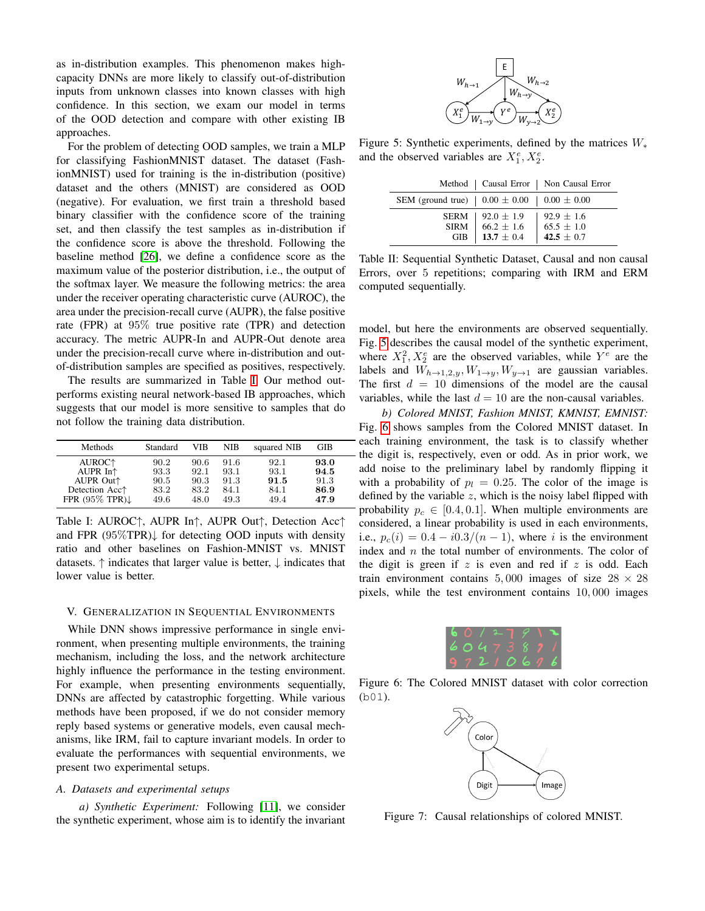as in-distribution examples. This phenomenon makes highcapacity DNNs are more likely to classify out-of-distribution inputs from unknown classes into known classes with high confidence. In this section, we exam our model in terms of the OOD detection and compare with other existing IB approaches.

For the problem of detecting OOD samples, we train a MLP for classifying FashionMNIST dataset. The dataset (FashionMNIST) used for training is the in-distribution (positive) dataset and the others (MNIST) are considered as OOD (negative). For evaluation, we first train a threshold based binary classifier with the confidence score of the training set, and then classify the test samples as in-distribution if the confidence score is above the threshold. Following the baseline method [\[26\]](#page-7-17), we define a confidence score as the maximum value of the posterior distribution, i.e., the output of the softmax layer. We measure the following metrics: the area under the receiver operating characteristic curve (AUROC), the area under the precision-recall curve (AUPR), the false positive rate (FPR) at 95% true positive rate (TPR) and detection accuracy. The metric AUPR-In and AUPR-Out denote area under the precision-recall curve where in-distribution and outof-distribution samples are specified as positives, respectively.

The results are summarized in Table [I.](#page-4-0) Our method outperforms existing neural network-based IB approaches, which suggests that our model is more sensitive to samples that do not follow the training data distribution.

<span id="page-4-0"></span>

| Methods                       | Standard | VIB  | NIB  | squared NIB | GIB  |
|-------------------------------|----------|------|------|-------------|------|
| AUROC <sup>+</sup>            | 90.2     | 90.6 | 91.6 | 92.1        | 93.0 |
| AUPR $In+$                    | 93.3     | 92.1 | 93.1 | 93.1        | 94.5 |
| AUPR Out <sup>1</sup>         | 90.5     | 90.3 | 91.3 | 91.5        | 91.3 |
| Detection Acc <sup>+</sup>    | 83.2     | 83.2 | 84.1 | 84.1        | 86.9 |
| FPR $(95\%$ TPR) $\downarrow$ | 49.6     | 48.0 | 49.3 | 49.4        | 47.9 |

Table I: AUROC↑, AUPR In↑, AUPR Out↑, Detection Acc↑ and FPR  $(95\%$ TPR) $\downarrow$  for detecting OOD inputs with density ratio and other baselines on Fashion-MNIST vs. MNIST datasets.  $\uparrow$  indicates that larger value is better,  $\downarrow$  indicates that lower value is better.

### V. GENERALIZATION IN SEQUENTIAL ENVIRONMENTS

While DNN shows impressive performance in single environment, when presenting multiple environments, the training mechanism, including the loss, and the network architecture highly influence the performance in the testing environment. For example, when presenting environments sequentially, DNNs are affected by catastrophic forgetting. While various methods have been proposed, if we do not consider memory reply based systems or generative models, even causal mechanisms, like IRM, fail to capture invariant models. In order to evaluate the performances with sequential environments, we present two experimental setups.

# *A. Datasets and experimental setups*

*a) Synthetic Experiment:* Following [\[11\]](#page-7-2), we consider the synthetic experiment, whose aim is to identify the invariant

<span id="page-4-1"></span>

Figure 5: Synthetic experiments, defined by the matrices  $W_*$ and the observed variables are  $X_1^e, X_2^e$ .

<span id="page-4-3"></span>

|                                                                   |                                                                                                                                                                            | Method   Causal Error   Non Causal Error |
|-------------------------------------------------------------------|----------------------------------------------------------------------------------------------------------------------------------------------------------------------------|------------------------------------------|
| SEM (ground true) $\vert 0.00 \pm 0.00 \vert 0.00 \pm 0.00 \vert$ |                                                                                                                                                                            |                                          |
|                                                                   | $\begin{tabular}{ c   c} SERM & 92.0 \pm 1.9 & 92.9 \pm 1.6 \\ SIRM & 66.2 \pm 1.6 & 65.5 \pm 1.0 \\ GIB & \textbf{13.7} \pm 0.4 & \textbf{42.5} \pm 0.7 \\ \end{tabular}$ |                                          |
|                                                                   |                                                                                                                                                                            |                                          |
|                                                                   |                                                                                                                                                                            |                                          |

Table II: Sequential Synthetic Dataset, Causal and non causal Errors, over 5 repetitions; comparing with IRM and ERM computed sequentially.

model, but here the environments are observed sequentially. Fig. [5](#page-4-1) describes the causal model of the synthetic experiment, where  $X_1^2, X_2^e$  are the observed variables, while  $Y^e$  are the labels and  $W_{h\to 1,2,y}$ ,  $W_{1\to y}$ ,  $W_{y\to 1}$  are gaussian variables. The first  $d = 10$  dimensions of the model are the causal variables, while the last  $d = 10$  are the non-causal variables.

*b) Colored MNIST, Fashion MNIST, KMNIST, EMNIST:* Fig. [6](#page-4-2) shows samples from the Colored MNIST dataset. In - each training environment, the task is to classify whether - the digit is, respectively, even or odd. As in prior work, we add noise to the preliminary label by randomly flipping it with a probability of  $p_l = 0.25$ . The color of the image is defined by the variable  $z$ , which is the noisy label flipped with probability  $p_c \in [0.4, 0.1]$ . When multiple environments are considered, a linear probability is used in each environments, i.e.,  $p_c(i) = 0.4 - i0.3/(n-1)$ , where i is the environment index and  $n$  the total number of environments. The color of the digit is green if  $z$  is even and red if  $z$  is odd. Each train environment contains 5,000 images of size  $28 \times 28$ pixels, while the test environment contains 10, 000 images



<span id="page-4-2"></span>Figure 6: The Colored MNIST dataset with color correction (b01).



Figure 7: Causal relationships of colored MNIST.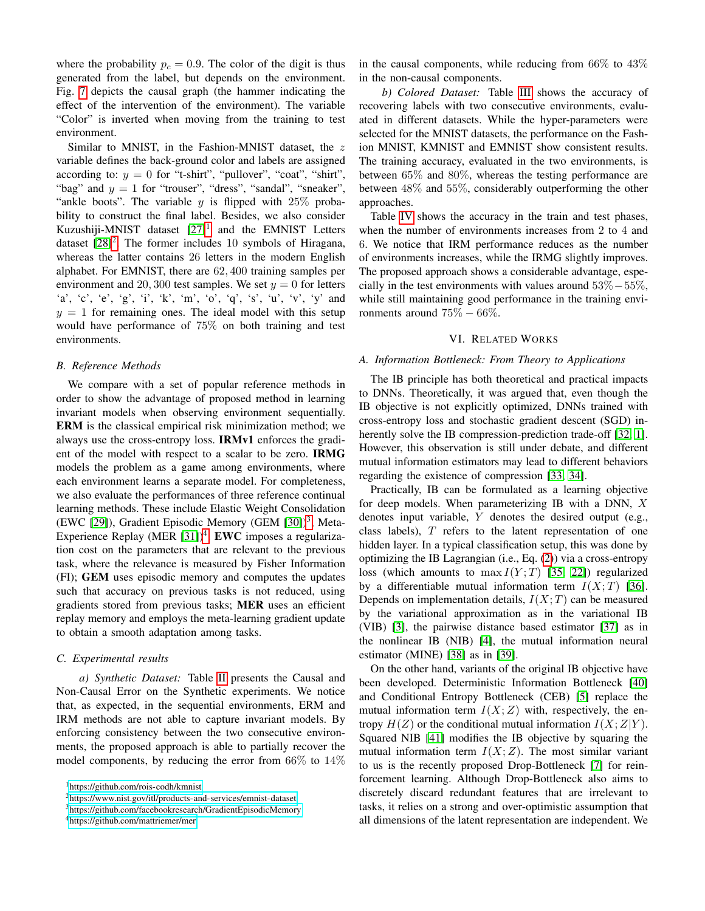where the probability  $p_c = 0.9$ . The color of the digit is thus generated from the label, but depends on the environment. Fig. [7](#page-4-2) depicts the causal graph (the hammer indicating the effect of the intervention of the environment). The variable "Color" is inverted when moving from the training to test environment.

Similar to MNIST, in the Fashion-MNIST dataset, the z variable defines the back-ground color and labels are assigned according to:  $y = 0$  for "t-shirt", "pullover", "coat", "shirt", "bag" and  $y = 1$  for "trouser", "dress", "sandal", "sneaker", "ankle boots". The variable  $y$  is flipped with 25% probability to construct the final label. Besides, we also consider Kuzushiji-MNIST dataset  $[27]$ <sup>[1](#page-5-0)</sup> and the EMNIST Letters dataset  $[28]^2$  $[28]^2$  $[28]^2$ . The former includes 10 symbols of Hiragana, whereas the latter contains 26 letters in the modern English alphabet. For EMNIST, there are 62, 400 training samples per environment and 20, 300 test samples. We set  $y = 0$  for letters 'a', 'c', 'e', 'g', 'i', 'k', 'm', 'o', 'q', 's', 'u', 'v', 'y' and  $y = 1$  for remaining ones. The ideal model with this setup would have performance of 75% on both training and test environments.

## *B. Reference Methods*

We compare with a set of popular reference methods in order to show the advantage of proposed method in learning invariant models when observing environment sequentially. ERM is the classical empirical risk minimization method; we always use the cross-entropy loss. IRMv1 enforces the gradient of the model with respect to a scalar to be zero. IRMG models the problem as a game among environments, where each environment learns a separate model. For completeness, we also evaluate the performances of three reference continual learning methods. These include Elastic Weight Consolidation (EWC [\[29\]](#page-7-20)), Gradient Episodic Memory (GEM [\[30\]](#page-7-21))<sup>[3](#page-5-2)</sup>, Meta-Experience Replay (MER  $[31]$ <sup>[4](#page-5-3)</sup>. EWC imposes a regularization cost on the parameters that are relevant to the previous task, where the relevance is measured by Fisher Information (FI); GEM uses episodic memory and computes the updates such that accuracy on previous tasks is not reduced, using gradients stored from previous tasks; MER uses an efficient replay memory and employs the meta-learning gradient update to obtain a smooth adaptation among tasks.

#### *C. Experimental results*

*a) Synthetic Dataset:* Table [II](#page-4-3) presents the Causal and Non-Causal Error on the Synthetic experiments. We notice that, as expected, in the sequential environments, ERM and IRM methods are not able to capture invariant models. By enforcing consistency between the two consecutive environments, the proposed approach is able to partially recover the model components, by reducing the error from  $66\%$  to  $14\%$  in the causal components, while reducing from  $66\%$  to  $43\%$ in the non-causal components.

*b) Colored Dataset:* Table [III](#page-6-8) shows the accuracy of recovering labels with two consecutive environments, evaluated in different datasets. While the hyper-parameters were selected for the MNIST datasets, the performance on the Fashion MNIST, KMNIST and EMNIST show consistent results. The training accuracy, evaluated in the two environments, is between 65% and 80%, whereas the testing performance are between 48% and 55%, considerably outperforming the other approaches.

Table [IV](#page-6-9) shows the accuracy in the train and test phases, when the number of environments increases from 2 to 4 and 6. We notice that IRM performance reduces as the number of environments increases, while the IRMG slightly improves. The proposed approach shows a considerable advantage, especially in the test environments with values around  $53\% - 55\%$ , while still maintaining good performance in the training environments around  $75\% - 66\%.$ 

#### VI. RELATED WORKS

# *A. Information Bottleneck: From Theory to Applications*

The IB principle has both theoretical and practical impacts to DNNs. Theoretically, it was argued that, even though the IB objective is not explicitly optimized, DNNs trained with cross-entropy loss and stochastic gradient descent (SGD) in-herently solve the IB compression-prediction trade-off [\[32,](#page-7-23) [1\]](#page-6-0). However, this observation is still under debate, and different mutual information estimators may lead to different behaviors regarding the existence of compression [\[33,](#page-7-24) [34\]](#page-7-25).

Practically, IB can be formulated as a learning objective for deep models. When parameterizing IB with a DNN,  $X$ denotes input variable, Y denotes the desired output (e.g., class labels),  $T$  refers to the latent representation of one hidden layer. In a typical classification setup, this was done by optimizing the IB Lagrangian (i.e., Eq. [\(2\)](#page-1-3)) via a cross-entropy loss (which amounts to  $\max I(Y;T)$  [\[35,](#page-7-26) [22\]](#page-7-13)) regularized by a differentiable mutual information term  $I(X;T)$  [\[36\]](#page-7-27). Depends on implementation details,  $I(X;T)$  can be measured by the variational approximation as in the variational IB (VIB) [\[3\]](#page-6-2), the pairwise distance based estimator [\[37\]](#page-7-28) as in the nonlinear IB (NIB) [\[4\]](#page-6-3), the mutual information neural estimator (MINE) [\[38\]](#page-7-29) as in [\[39\]](#page-7-30).

On the other hand, variants of the original IB objective have been developed. Deterministic Information Bottleneck [\[40\]](#page-7-31) and Conditional Entropy Bottleneck (CEB) [\[5\]](#page-6-4) replace the mutual information term  $I(X; Z)$  with, respectively, the entropy  $H(Z)$  or the conditional mutual information  $I(X;Z|Y)$ . Squared NIB [\[41\]](#page-8-0) modifies the IB objective by squaring the mutual information term  $I(X;Z)$ . The most similar variant to us is the recently proposed Drop-Bottleneck [\[7\]](#page-6-6) for reinforcement learning. Although Drop-Bottleneck also aims to discretely discard redundant features that are irrelevant to tasks, it relies on a strong and over-optimistic assumption that all dimensions of the latent representation are independent. We

<span id="page-5-0"></span><sup>1</sup><https://github.com/rois-codh/kmnist>

<span id="page-5-1"></span><sup>2</sup><https://www.nist.gov/itl/products-and-services/emnist-dataset>

<span id="page-5-2"></span><sup>3</sup><https://github.com/facebookresearch/GradientEpisodicMemory>

<span id="page-5-3"></span><sup>4</sup><https://github.com/mattriemer/mer>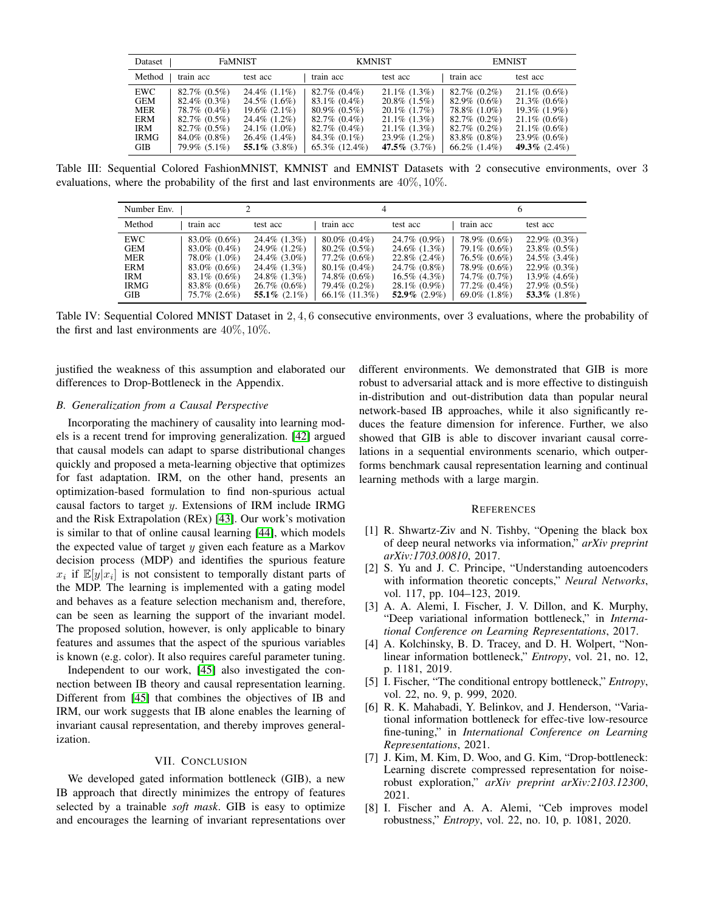<span id="page-6-8"></span>

| Dataset                                                              | <b>FaMNIST</b>                                                                                                                          |                                                                                                                                               | <b>KMNIST</b>                                                                                                                                  |                                                                                                                                                | <b>EMNIST</b>                                                                                                                       |                                                                                                                                     |
|----------------------------------------------------------------------|-----------------------------------------------------------------------------------------------------------------------------------------|-----------------------------------------------------------------------------------------------------------------------------------------------|------------------------------------------------------------------------------------------------------------------------------------------------|------------------------------------------------------------------------------------------------------------------------------------------------|-------------------------------------------------------------------------------------------------------------------------------------|-------------------------------------------------------------------------------------------------------------------------------------|
| Method                                                               | train acc                                                                                                                               | test acc                                                                                                                                      | train acc                                                                                                                                      | test acc                                                                                                                                       | train acc                                                                                                                           | test acc                                                                                                                            |
| EWC<br><b>GEM</b><br>MER<br>ERM<br><b>IRM</b><br><b>IRMG</b><br>GIB- | $82.7\%$ $(0.5\%)$<br>$82.4\%$ (0.3%)<br>78.7% (0.4%)<br>$82.7\%$ $(0.5\%)$<br>$82.7\%$ $(0.5\%)$<br>$84.0\%$ $(0.8\%)$<br>79.9% (5.1%) | $24.4\%$ $(1.1\%)$<br>$24.5\%$ $(1.6\%)$<br>$19.6\%$ $(2.1\%)$<br>24.4\% (1.2\%)<br>$24.1\%$ (1.0%)<br>$26.4\%$ $(1.4\%)$<br>55.1\% $(3.8\%)$ | $82.7\%$ $(0.4\%)$<br>$83.1\%$ (0.4%)<br>$80.9\%$ $(0.5\%)$<br>$82.7\%$ (0.4%)<br>$82.7\%$ (0.4%)<br>$84.3\%$ $(0.1\%)$<br>$65.3\%$ $(12.4\%)$ | $21.1\%$ $(1.3\%)$<br>$20.8\%$ $(1.5\%)$<br>$20.1\%$ (1.7%)<br>$21.1\%$ $(1.3\%)$<br>$21.1\%$ (1.3%)<br>$23.9\%$ $(1.2\%)$<br>47.5\% $(3.7\%)$ | $82.7\%$ (0.2%)<br>$82.9\%$ (0.6%)<br>78.8% (1.0%)<br>$82.7\%$ (0.2\%)<br>$82.7\%$ (0.2\%)<br>$83.8\%$ (0.8%)<br>$66.2\%$ $(1.4\%)$ | $21.1\% (0.6\%)$<br>$21.3\%$ (0.6%)<br>$19.3\%$ (1.9%)<br>$21.1\%$ (0.6%)<br>$21.1\%$ (0.6%)<br>$23.9\%$ (0.6%)<br>49.3\% $(2.4\%)$ |

<span id="page-6-9"></span>Table III: Sequential Colored FashionMNIST, KMNIST and EMNIST Datasets with 2 consecutive environments, over 3 evaluations, where the probability of the first and last environments are 40%, 10%.

| Number Env.                                                         |                                                                                                                       | 4                                                                                                                         |                                                                                                                             | n                                                                                                                                           |                                                                                                                        |                                                                                                                                    |
|---------------------------------------------------------------------|-----------------------------------------------------------------------------------------------------------------------|---------------------------------------------------------------------------------------------------------------------------|-----------------------------------------------------------------------------------------------------------------------------|---------------------------------------------------------------------------------------------------------------------------------------------|------------------------------------------------------------------------------------------------------------------------|------------------------------------------------------------------------------------------------------------------------------------|
| Method                                                              | train acc                                                                                                             | test acc                                                                                                                  | train acc                                                                                                                   | test acc                                                                                                                                    | train acc                                                                                                              | test acc                                                                                                                           |
| <b>EWC</b><br>GEM<br>MER<br><b>ERM</b><br>IRM<br><b>IRMG</b><br>GIB | $83.0\%$ (0.6%)<br>83.0% (0.4%)<br>78.0% (1.0%)<br>$83.0\%$ (0.6%)<br>$83.1\%$ (0.6%)<br>83.8% (0.6%)<br>75.7% (2.6%) | 24.4% (1.3%)<br>24.9% (1.2%)<br>24.4\% (3.0\%)<br>24.4\% (1.3\%)<br>24.8\% (1.3\%)<br>$26.7\%$ (0.6%)<br>55.1\% $(2.1\%)$ | $80.0\%$ (0.4%)<br>$80.2\%$ (0.5%)<br>77.2\% (0.6\%)<br>$80.1\%$ (0.4%)<br>74.8% (0.6%)<br>79.4% (0.2%)<br>$66.1\%$ (11.3%) | $24.7\%$ (0.9%)<br>$24.6\%$ $(1.3\%)$<br>$22.8\%$ $(2.4\%)$<br>$24.7\%$ (0.8%)<br>$16.5\%$ $(4.3\%)$<br>$28.1\% (0.9\%)$<br>$52.9\%$ (2.9%) | 78.9% (0.6%)<br>79.1\% (0.6\%)<br>76.5% (0.6%)<br>78.9% (0.6%)<br>74.7% (0.7%)<br>77.2\% (0.4\%)<br>$69.0\%$ $(1.8\%)$ | $22.9\%$ $(0.3\%)$<br>$23.8\%$ (0.5%)<br>24.5% (3.4%)<br>$22.9\%$ (0.3%)<br>$13.9\%$ $(4.6\%)$<br>27.9% (0.5%)<br>53.3\% $(1.8\%)$ |

Table IV: Sequential Colored MNIST Dataset in 2, 4, 6 consecutive environments, over 3 evaluations, where the probability of the first and last environments are  $40\%, 10\%$ .

justified the weakness of this assumption and elaborated our differences to Drop-Bottleneck in the Appendix.

# *B. Generalization from a Causal Perspective*

Incorporating the machinery of causality into learning models is a recent trend for improving generalization. [\[42\]](#page-8-1) argued that causal models can adapt to sparse distributional changes quickly and proposed a meta-learning objective that optimizes for fast adaptation. IRM, on the other hand, presents an optimization-based formulation to find non-spurious actual causal factors to target  $y$ . Extensions of IRM include IRMG and the Risk Extrapolation (REx) [\[43\]](#page-8-2). Our work's motivation is similar to that of online causal learning [\[44\]](#page-8-3), which models the expected value of target  $y$  given each feature as a Markov decision process (MDP) and identifies the spurious feature  $x_i$  if  $\mathbb{E}[y|x_i]$  is not consistent to temporally distant parts of the MDP. The learning is implemented with a gating model and behaves as a feature selection mechanism and, therefore, can be seen as learning the support of the invariant model. The proposed solution, however, is only applicable to binary features and assumes that the aspect of the spurious variables is known (e.g. color). It also requires careful parameter tuning.

Independent to our work, [\[45\]](#page-8-4) also investigated the connection between IB theory and causal representation learning. Different from [\[45\]](#page-8-4) that combines the objectives of IB and IRM, our work suggests that IB alone enables the learning of invariant causal representation, and thereby improves generalization.

#### VII. CONCLUSION

We developed gated information bottleneck (GIB), a new IB approach that directly minimizes the entropy of features selected by a trainable *soft mask*. GIB is easy to optimize and encourages the learning of invariant representations over different environments. We demonstrated that GIB is more robust to adversarial attack and is more effective to distinguish in-distribution and out-distribution data than popular neural network-based IB approaches, while it also significantly reduces the feature dimension for inference. Further, we also showed that GIB is able to discover invariant causal correlations in a sequential environments scenario, which outperforms benchmark causal representation learning and continual learning methods with a large margin.

#### **REFERENCES**

- <span id="page-6-0"></span>[1] R. Shwartz-Ziv and N. Tishby, "Opening the black box of deep neural networks via information," *arXiv preprint arXiv:1703.00810*, 2017.
- <span id="page-6-1"></span>[2] S. Yu and J. C. Principe, "Understanding autoencoders with information theoretic concepts," *Neural Networks*, vol. 117, pp. 104–123, 2019.
- <span id="page-6-2"></span>[3] A. A. Alemi, I. Fischer, J. V. Dillon, and K. Murphy, "Deep variational information bottleneck," in *International Conference on Learning Representations*, 2017.
- <span id="page-6-3"></span>[4] A. Kolchinsky, B. D. Tracey, and D. H. Wolpert, "Nonlinear information bottleneck," *Entropy*, vol. 21, no. 12, p. 1181, 2019.
- <span id="page-6-4"></span>[5] I. Fischer, "The conditional entropy bottleneck," *Entropy*, vol. 22, no. 9, p. 999, 2020.
- <span id="page-6-5"></span>[6] R. K. Mahabadi, Y. Belinkov, and J. Henderson, "Variational information bottleneck for effec-tive low-resource fine-tuning," in *International Conference on Learning Representations*, 2021.
- <span id="page-6-6"></span>[7] J. Kim, M. Kim, D. Woo, and G. Kim, "Drop-bottleneck: Learning discrete compressed representation for noiserobust exploration," *arXiv preprint arXiv:2103.12300*, 2021.
- <span id="page-6-7"></span>[8] I. Fischer and A. A. Alemi, "Ceb improves model robustness," *Entropy*, vol. 22, no. 10, p. 1081, 2020.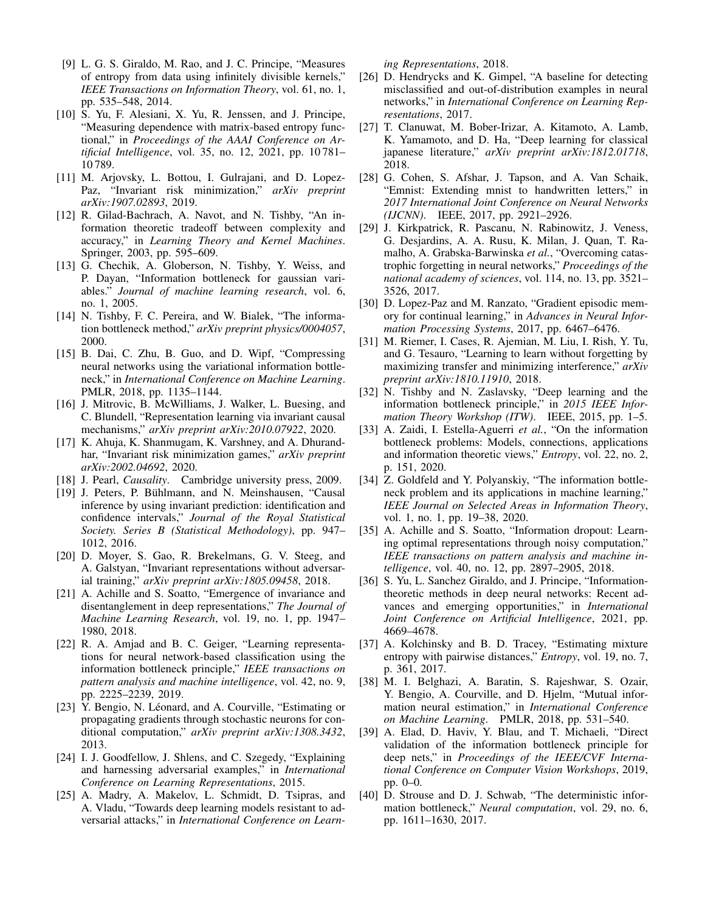- <span id="page-7-0"></span>[9] L. G. S. Giraldo, M. Rao, and J. C. Principe, "Measures of entropy from data using infinitely divisible kernels," *IEEE Transactions on Information Theory*, vol. 61, no. 1, pp. 535–548, 2014.
- <span id="page-7-1"></span>[10] S. Yu, F. Alesiani, X. Yu, R. Jenssen, and J. Principe, "Measuring dependence with matrix-based entropy functional," in *Proceedings of the AAAI Conference on Artificial Intelligence*, vol. 35, no. 12, 2021, pp. 10 781– 10 789.
- <span id="page-7-2"></span>[11] M. Arjovsky, L. Bottou, I. Gulrajani, and D. Lopez-Paz, "Invariant risk minimization," *arXiv preprint arXiv:1907.02893*, 2019.
- <span id="page-7-3"></span>[12] R. Gilad-Bachrach, A. Navot, and N. Tishby, "An information theoretic tradeoff between complexity and accuracy," in *Learning Theory and Kernel Machines*. Springer, 2003, pp. 595–609.
- <span id="page-7-4"></span>[13] G. Chechik, A. Globerson, N. Tishby, Y. Weiss, and P. Dayan, "Information bottleneck for gaussian variables." *Journal of machine learning research*, vol. 6, no. 1, 2005.
- <span id="page-7-5"></span>[14] N. Tishby, F. C. Pereira, and W. Bialek, "The information bottleneck method," *arXiv preprint physics/0004057*, 2000.
- <span id="page-7-6"></span>[15] B. Dai, C. Zhu, B. Guo, and D. Wipf, "Compressing neural networks using the variational information bottleneck," in *International Conference on Machine Learning*. PMLR, 2018, pp. 1135–1144.
- <span id="page-7-7"></span>[16] J. Mitrovic, B. McWilliams, J. Walker, L. Buesing, and C. Blundell, "Representation learning via invariant causal mechanisms," *arXiv preprint arXiv:2010.07922*, 2020.
- <span id="page-7-8"></span>[17] K. Ahuja, K. Shanmugam, K. Varshney, and A. Dhurandhar, "Invariant risk minimization games," *arXiv preprint arXiv:2002.04692*, 2020.
- <span id="page-7-9"></span>[18] J. Pearl, *Causality*. Cambridge university press, 2009.
- <span id="page-7-10"></span>[19] J. Peters, P. Bühlmann, and N. Meinshausen, "Causal inference by using invariant prediction: identification and confidence intervals," *Journal of the Royal Statistical Society. Series B (Statistical Methodology)*, pp. 947– 1012, 2016.
- <span id="page-7-11"></span>[20] D. Moyer, S. Gao, R. Brekelmans, G. V. Steeg, and A. Galstyan, "Invariant representations without adversarial training," *arXiv preprint arXiv:1805.09458*, 2018.
- <span id="page-7-12"></span>[21] A. Achille and S. Soatto, "Emergence of invariance and disentanglement in deep representations," *The Journal of Machine Learning Research*, vol. 19, no. 1, pp. 1947– 1980, 2018.
- <span id="page-7-13"></span>[22] R. A. Amjad and B. C. Geiger, "Learning representations for neural network-based classification using the information bottleneck principle," *IEEE transactions on pattern analysis and machine intelligence*, vol. 42, no. 9, pp. 2225–2239, 2019.
- <span id="page-7-14"></span>[23] Y. Bengio, N. Léonard, and A. Courville, "Estimating or propagating gradients through stochastic neurons for conditional computation," *arXiv preprint arXiv:1308.3432*, 2013.
- <span id="page-7-15"></span>[24] I. J. Goodfellow, J. Shlens, and C. Szegedy, "Explaining and harnessing adversarial examples," in *International Conference on Learning Representations*, 2015.
- <span id="page-7-16"></span>[25] A. Madry, A. Makelov, L. Schmidt, D. Tsipras, and A. Vladu, "Towards deep learning models resistant to adversarial attacks," in *International Conference on Learn-*

*ing Representations*, 2018.

- <span id="page-7-17"></span>[26] D. Hendrycks and K. Gimpel, "A baseline for detecting misclassified and out-of-distribution examples in neural networks," in *International Conference on Learning Representations*, 2017.
- <span id="page-7-18"></span>[27] T. Clanuwat, M. Bober-Irizar, A. Kitamoto, A. Lamb, K. Yamamoto, and D. Ha, "Deep learning for classical japanese literature," *arXiv preprint arXiv:1812.01718*, 2018.
- <span id="page-7-19"></span>[28] G. Cohen, S. Afshar, J. Tapson, and A. Van Schaik, "Emnist: Extending mnist to handwritten letters," in *2017 International Joint Conference on Neural Networks (IJCNN)*. IEEE, 2017, pp. 2921–2926.
- <span id="page-7-20"></span>[29] J. Kirkpatrick, R. Pascanu, N. Rabinowitz, J. Veness, G. Desjardins, A. A. Rusu, K. Milan, J. Quan, T. Ramalho, A. Grabska-Barwinska *et al.*, "Overcoming catastrophic forgetting in neural networks," *Proceedings of the national academy of sciences*, vol. 114, no. 13, pp. 3521– 3526, 2017.
- <span id="page-7-21"></span>[30] D. Lopez-Paz and M. Ranzato, "Gradient episodic memory for continual learning," in *Advances in Neural Information Processing Systems*, 2017, pp. 6467–6476.
- <span id="page-7-22"></span>[31] M. Riemer, I. Cases, R. Ajemian, M. Liu, I. Rish, Y. Tu, and G. Tesauro, "Learning to learn without forgetting by maximizing transfer and minimizing interference," *arXiv preprint arXiv:1810.11910*, 2018.
- <span id="page-7-23"></span>[32] N. Tishby and N. Zaslavsky, "Deep learning and the information bottleneck principle," in *2015 IEEE Information Theory Workshop (ITW)*. IEEE, 2015, pp. 1–5.
- <span id="page-7-24"></span>[33] A. Zaidi, I. Estella-Aguerri *et al.*, "On the information bottleneck problems: Models, connections, applications and information theoretic views," *Entropy*, vol. 22, no. 2, p. 151, 2020.
- <span id="page-7-25"></span>[34] Z. Goldfeld and Y. Polyanskiy, "The information bottleneck problem and its applications in machine learning," *IEEE Journal on Selected Areas in Information Theory*, vol. 1, no. 1, pp. 19–38, 2020.
- <span id="page-7-26"></span>[35] A. Achille and S. Soatto, "Information dropout: Learning optimal representations through noisy computation," *IEEE transactions on pattern analysis and machine intelligence*, vol. 40, no. 12, pp. 2897–2905, 2018.
- <span id="page-7-27"></span>[36] S. Yu, L. Sanchez Giraldo, and J. Principe, "Informationtheoretic methods in deep neural networks: Recent advances and emerging opportunities," in *International Joint Conference on Artificial Intelligence*, 2021, pp. 4669–4678.
- <span id="page-7-28"></span>[37] A. Kolchinsky and B. D. Tracey, "Estimating mixture entropy with pairwise distances," *Entropy*, vol. 19, no. 7, p. 361, 2017.
- <span id="page-7-29"></span>[38] M. I. Belghazi, A. Baratin, S. Rajeshwar, S. Ozair, Y. Bengio, A. Courville, and D. Hjelm, "Mutual information neural estimation," in *International Conference on Machine Learning*. PMLR, 2018, pp. 531–540.
- <span id="page-7-30"></span>[39] A. Elad, D. Haviv, Y. Blau, and T. Michaeli, "Direct validation of the information bottleneck principle for deep nets," in *Proceedings of the IEEE/CVF International Conference on Computer Vision Workshops*, 2019, pp. 0–0.
- <span id="page-7-31"></span>[40] D. Strouse and D. J. Schwab, "The deterministic information bottleneck," *Neural computation*, vol. 29, no. 6, pp. 1611–1630, 2017.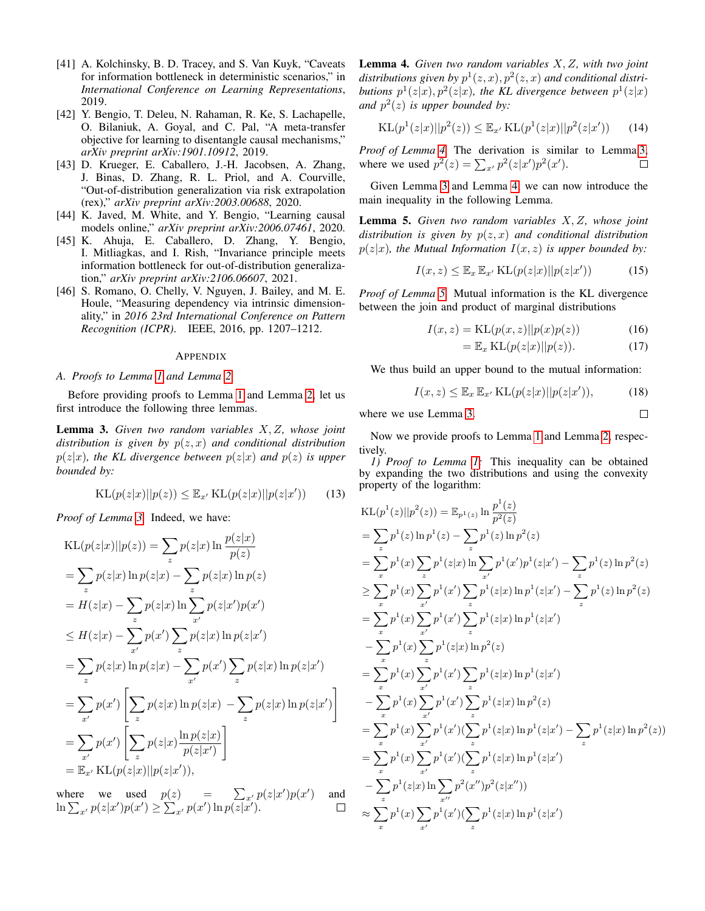- <span id="page-8-0"></span>[41] A. Kolchinsky, B. D. Tracey, and S. Van Kuyk, "Caveats" for information bottleneck in deterministic scenarios," in *International Conference on Learning Representations*, 2019.
- <span id="page-8-1"></span>[42] Y. Bengio, T. Deleu, N. Rahaman, R. Ke, S. Lachapelle, O. Bilaniuk, A. Goyal, and C. Pal, "A meta-transfer objective for learning to disentangle causal mechanisms," *arXiv preprint arXiv:1901.10912*, 2019.
- <span id="page-8-2"></span>[43] D. Krueger, E. Caballero, J.-H. Jacobsen, A. Zhang, J. Binas, D. Zhang, R. L. Priol, and A. Courville, "Out-of-distribution generalization via risk extrapolation (rex)," *arXiv preprint arXiv:2003.00688*, 2020.
- <span id="page-8-3"></span>[44] K. Javed, M. White, and Y. Bengio, "Learning causal models online," *arXiv preprint arXiv:2006.07461*, 2020.
- <span id="page-8-4"></span>[45] K. Ahuja, E. Caballero, D. Zhang, Y. Bengio, I. Mitliagkas, and I. Rish, "Invariance principle meets information bottleneck for out-of-distribution generalization," *arXiv preprint arXiv:2106.06607*, 2021.
- <span id="page-8-8"></span>[46] S. Romano, O. Chelly, V. Nguyen, J. Bailey, and M. E. Houle, "Measuring dependency via intrinsic dimensionality," in *2016 23rd International Conference on Pattern Recognition (ICPR)*. IEEE, 2016, pp. 1207–1212.

#### **APPENDIX**

#### *A. Proofs to Lemma [1](#page-1-1) and Lemma [2](#page-1-2)*

Before providing proofs to Lemma [1](#page-1-1) and Lemma [2,](#page-1-2) let us first introduce the following three lemmas.

<span id="page-8-5"></span>Lemma 3. *Given two random variables* X, Z*, whose joint distribution is given by* p(z, x) *and conditional distribution*  $p(z|x)$ *, the KL divergence between*  $p(z|x)$  *and*  $p(z)$  *is upper bounded by:*

$$
KL(p(z|x)||p(z)) \leq \mathbb{E}_{x'} KL(p(z|x)||p(z|x')) \qquad (13)
$$

*Proof of Lemma [3.](#page-8-5)* Indeed, we have:

$$
KL(p(z|x)||p(z)) = \sum_{z} p(z|x) \ln \frac{p(z|x)}{p(z)}
$$
  
\n
$$
= \sum_{z} p(z|x) \ln p(z|x) - \sum_{z} p(z|x) \ln p(z)
$$
  
\n
$$
= H(z|x) - \sum_{z} p(z|x) \ln \sum_{x'} p(z|x')p(x')
$$
  
\n
$$
\leq H(z|x) - \sum_{x'} p(x') \sum_{z} p(z|x) \ln p(z|x')
$$
  
\n
$$
= \sum_{z} p(z|x) \ln p(z|x) - \sum_{x'} p(x') \sum_{z} p(z|x) \ln p(z|x')
$$
  
\n
$$
= \sum_{x'} p(x') \left[ \sum_{z} p(z|x) \ln p(z|x) - \sum_{z} p(z|x) \ln p(z|x') \right]
$$
  
\n
$$
= \sum_{x'} p(x') \left[ \sum_{z} p(z|x) \frac{\ln p(z|x)}{p(z|x')} \right]
$$
  
\n
$$
= \mathbb{E}_{x'} \text{KL}(p(z|x)||p(z|x')))
$$

<span id="page-8-6"></span>where we used  $p(z)$  =  $\sum_{x} p(z|x')p(x')$ ) and  $\ln \sum_{x'} p(z|x')p(x') \geq \sum_{x'} p(x') \ln p(z|x').$  $\Box$  Lemma 4. *Given two random variables* X, Z*, with two joint* distributions given by  $p^1(z, x)$ ,  $p^2(z, x)$  and conditional distributions  $p^1(z|x), p^2(z|x)$ , the KL divergence between  $p^1(z|x)$ and  $p^2(z)$  *is upper bounded by:* 

$$
KL(p^{1}(z|x)||p^{2}(z)) \leq \mathbb{E}_{x'} KL(p^{1}(z|x)||p^{2}(z|x')) \qquad (14)
$$

*Proof of Lemma [4.](#page-8-6)* The derivation is similar to Lemma[.3,](#page-8-5) where we used  $p^2(z) = \sum_{x'} p^2(z|x')p^2(x')$ .  $\Box$ 

Given Lemma [3](#page-8-5) and Lemma [4,](#page-8-6) we can now introduce the main inequality in the following Lemma.

<span id="page-8-7"></span>Lemma 5. *Given two random variables* X, Z*, whose joint distribution is given by* p(z, x) *and conditional distribution*  $p(z|x)$ *, the Mutual Information*  $I(x, z)$  *is upper bounded by:* 

$$
I(x, z) \le \mathbb{E}_x \mathbb{E}_{x'} \operatorname{KL}(p(z|x) || p(z|x')) \tag{15}
$$

*Proof of Lemma [5.](#page-8-7)* Mutual information is the KL divergence between the join and product of marginal distributions

$$
I(x,z) = \text{KL}(p(x,z)||p(x)p(z))\tag{16}
$$

$$
= \mathbb{E}_x \operatorname{KL}(p(z|x)||p(z)). \tag{17}
$$

 $\Box$ 

We thus build an upper bound to the mutual information:

$$
I(x, z) \le \mathbb{E}_x \mathbb{E}_{x'} \operatorname{KL}(p(z|x) || p(z|x')), \tag{18}
$$

where we use Lemma [3.](#page-8-5)

Now we provide proofs to Lemma [1](#page-1-1) and Lemma [2,](#page-1-2) respectively.

*1) Proof to Lemma [1:](#page-1-1)* This inequality can be obtained by expanding the two distributions and using the convexity property of the logarithm:

KL
$$
(p^{1}(z)||p^{2}(z)) = \mathbb{E}_{p^{1}(z)} \ln \frac{p^{1}(z)}{p^{2}(z)}
$$
  
\n
$$
= \sum_{z} p^{1}(z) \ln p^{1}(z) - \sum_{z} p^{1}(z) \ln p^{2}(z)
$$
\n
$$
= \sum_{x} p^{1}(x) \sum_{z} p^{1}(z|x) \ln \sum_{x'} p^{1}(x')p^{1}(z|x') - \sum_{z} p^{1}(z) \ln p^{2}(z)
$$
\n
$$
\geq \sum_{x} p^{1}(x) \sum_{x'} p^{1}(x') \sum_{z} p^{1}(z|x) \ln p^{1}(z|x') - \sum_{z} p^{1}(z) \ln p^{2}(z)
$$
\n
$$
= \sum_{x} p^{1}(x) \sum_{x'} p^{1}(x') \sum_{z} p^{1}(z|x) \ln p^{1}(z|x')
$$
\n
$$
- \sum_{x} p^{1}(x) \sum_{z'} p^{1}(z|x) \ln p^{2}(z)
$$
\n
$$
= \sum_{x} p^{1}(x) \sum_{x'} p^{1}(x') \sum_{z} p^{1}(z|x) \ln p^{1}(z|x')
$$
\n
$$
- \sum_{x} p^{1}(x) \sum_{x'} p^{1}(x') \sum_{z} p^{1}(z|x) \ln p^{2}(z)
$$
\n
$$
= \sum_{x} p^{1}(x) \sum_{x'} p^{1}(x') (\sum_{z} p^{1}(z|x) \ln p^{1}(z|x') - \sum_{z} p^{1}(z|x) \ln p^{2}(z))
$$
\n
$$
= \sum_{x} p^{1}(x) \sum_{x'} p^{1}(x') (\sum_{z} p^{1}(z|x) \ln p^{1}(z|x') - \sum_{z} p^{1}(z|x) \ln p^{2}(z))
$$
\n
$$
- \sum_{x} p^{1}(x) \sum_{x'} p^{1}(x') (\sum_{z} p^{1}(z|x) \ln p^{1}(z|x')
$$
\n
$$
\approx \sum_{x} p^{1}(x) \sum_{x'} p^{1}(x') (\sum_{z} p^{1}(z|x) \ln p^{1}(z|x')
$$